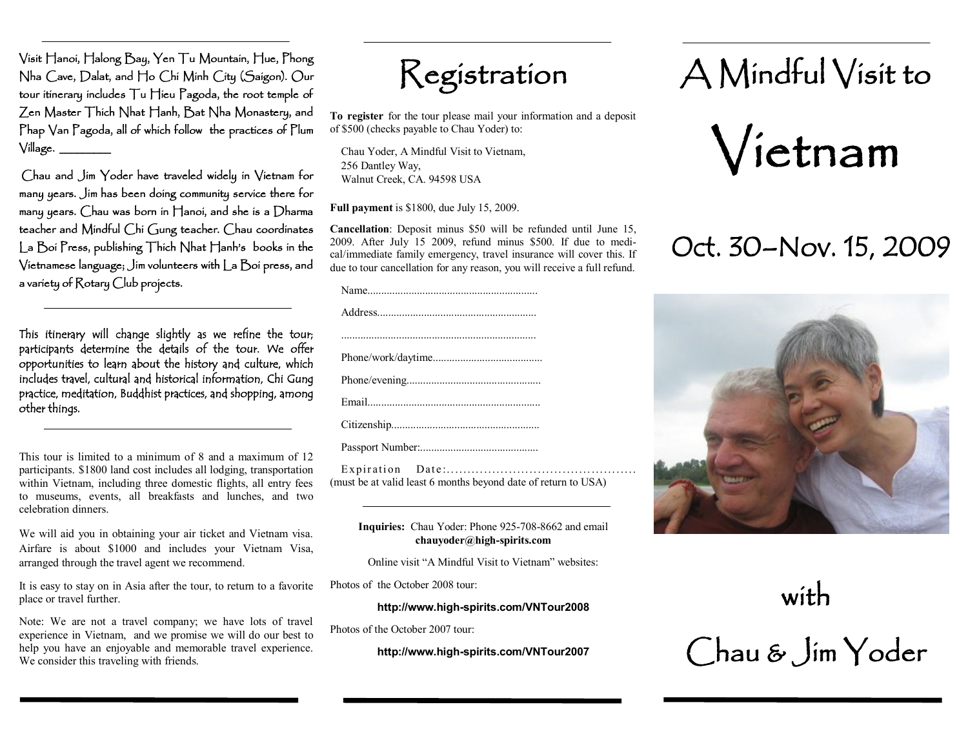Visit Hanoi, Halong Bay, Yen Tu Mountain, Hue, Phong Nha Cave, Dalat, and Ho Chi Minh City (Saigon). Our tour itinerary includes Tu Hieu Pagoda, the root temple of Zen Master Thich Nhat Hanh, Bat Nha Monastery, and Phap Van Pagoda, all of which follow the practices of Plum  $V$ illage.  $\qquad \qquad$ 

Chau and Jim Yoder have traveled widely in Vietnam for many years. Jim has been doing community service there for many years. Chau was born in Hanoi, and she is a Dharma teacher and Mindful Chi Gung teacher. Chau coordinates La Boi Press, publishing Thich Nhat Hanh's books in the Vietnamese language; Jim volunteers with La Boi press, and a variety of Rotary Club projects.

This itinerary will change slightly as we refine the tour; participants determine the details of the tour. We offer opportunities to learn about the history and culture, which includes travel, cultural and historical information, Chi Gung practice, meditation, Buddhist practices, and shopping, among other things.

This tour is limited to a minimum of 8 and a maximum of 12 participants. \$1800 land cost includes all lodging, transportation within Vietnam, including three domestic flights, all entry fees to museums, events, all breakfasts and lunches, and two celebration dinners.

We will aid you in obtaining your air ticket and Vietnam visa. Airfare is about \$1000 and includes your Vietnam Visa, arranged through the travel agent we recommend.

It is easy to stay on in Asia after the tour, to return to a favorite place or travel further.

Note: We are not a travel company; we have lots of travel experience in Vietnam, and we promise we will do our best to help you have an enjoyable and memorable travel experience. We consider this traveling with friends.



**To register** for the tour please mail your information and a deposit of \$500 (checks payable to Chau Yoder) to:

Chau Yoder, A Mindful Visit to Vietnam, 256 Dantley Way, Walnut Creek, CA. 94598 USA

**Full payment** is \$1800, due July 15, 2009.

**Cancellation**: Deposit minus \$50 will be refunded until June 15, 2009. After July 15 2009, refund minus \$500. If due to medical/immediate family emergency, travel insurance will cover this. If due to tour cancellation for any reason, you will receive a full refund.

(must be at valid least 6 months beyond date of return to USA)

#### **Inquiries:** Chau Yoder: Phone 925-708-8662 and email **chauyoder@high-spirits.com**

Online visit "A Mindful Visit to Vietnam" websites:

Photos of the October 2008 tour:

#### **http://www.high-spirits.com/VNTour2008**

Photos of the October 2007 tour:

**http://www.high-spirits.com/VNTour2007**

# A Mindful Visit to



# Oct. 30–Nov. 15, 2009



with Chau & Jim Yoder